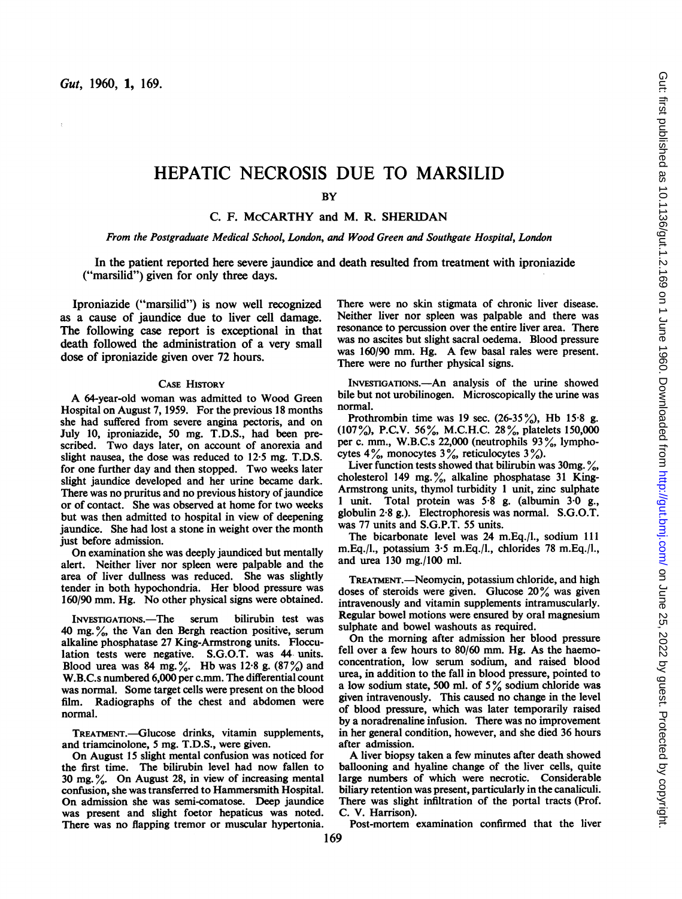# HEPATIC NECROSIS DUE TO MARSILID

**BY** 

C. F. McCARTHY and M. R. SHERIDAN

#### From the Postgraduate Medical School, London, and Wood Green and Southgate Hospital, London

In the patient reported here severe jaundice and death resulted from treatment with iproniazide ("marsilid") given for only three days.

Iproniazide ("marsilid") is now well recognized as a cause of jaundice due to liver cell damage. The following case report is exceptional in that death followed the administration of a very small dose of iproniazide given over 72 hours.

### CASE HISTORY

A 64-year-old woman was admitted to Wood Green Hospital on August 7, 1959. For the previous 18 months she had suffered from severe angina pectoris, and on July 10, iproniazide, 50 mg. T.D.S., had been prescribed. Two days later, on account of anorexia and slight nausea, the dose was reduced to 12-5 mg. T.D.S. for one further day and then stopped. Two weeks later slight jaundice developed and her urine became dark. There was no pruritus and no previous history of jaundice or of contact. She was observed at home for two weeks but was then admitted to hospital in view of deepening jaundice. She had lost a stone in weight over the month just before admission.

On examination she was deeply jaundiced but mentally alert. Neither liver nor spleen were palpable and the area of liver dullness was reduced. She was slightly tender in both hypochondria. Her blood pressure was 160/90 mm. Hg. No other physical signs were obtained.

INVESTIGATIONS.-The serum bilirubin test was 40 mg. %, the Van den Bergh reaction positive, serum alkaline phosphatase 27 King-Armstrong units. Flocculation tests were negative. S.G.O.T. was 44 units. Blood urea was 84 mg. %. Hb was 12.8 g. (87%) and W.B.C.s numbered 6,000 per c.mm. The differential count was normal. Some target cells were present on the blood film. Radiographs of the chest and abdomen were normal.

TREATMENT.-Glucose drinks, vitamin supplements, and triamcinolone, 5 mg. T.D.S., were given.

On August <sup>15</sup> slight mental confusion was noticed for the first time. The bilirubin level had now fallen to 30 mg. %. On August 28, in view of increasing mental confusion, she was transferred to Hammersmith Hospital. On admission she was semi-comatose. Deep jaundice was present and slight foetor hepaticus was noted. There was no flapping tremor or muscular hypertonia.

There were no skin stigmata of chronic liver disease. Neither liver nor spleen was palpable and there was resonance to percussion over the entire liver area. There was no ascites but slight sacral oedema. Blood pressure was 160/90 mm. Hg. A few basal rales were present. There were no further physical signs.

INVESTIGATIONS.-An analysis of the urine showed bile but not urobilinogen. Microscopically the urine was normal.

Prothrombin time was 19 sec.  $(26-35\%)$ , Hb 15.8 g. (107 %), P.C.V. 56%, M.C.H.C. 28%, platelets 150,000 per c. mm., W.B.C.s 22,000 (neutrophils 93%, lymphocytes  $4\%$ , monocytes  $3\%$ , reticulocytes  $3\%$ .

Liver function tests showed that bilirubin was  $30$ mg.  $\frac{6}{10}$ , cholesterol 149 mg.%, alkaline phosphatase 31 King-Armstrong units, thymol turbidity <sup>1</sup> unit, zinc sulphate <sup>1</sup> unit. Total protein was 5-8 g. (albumin 3.0 g., globulin 2-8 g.). Electrophoresis was normal. S.G.O.T. was 77 units and S.G.P.T. 55 units.

The bicarbonate level was 24 m.Eq./l., sodium 111 m.Eq./l., potassium 3.5 m.Eq./l., chlorides 78 m.Eq./l., and urea 130 mg./100 ml.

TREATMENT.—Neomycin, potassium chloride, and high doses of steroids were given. Glucose 20% was given intravenously and vitamin supplements intramuscularly. Regular bowel motions were ensured by oral magnesium sulphate and bowel washouts as required.

On the morning after admission her blood pressure fell over a few hours to 80/60 mm. Hg. As the haemoconcentration, low serum sodium, and raised blood urea, in addition to the fall in blood pressure, pointed to <sup>a</sup> low sodium state, <sup>500</sup> ml. of <sup>5</sup> % sodium chloride was given intravenously. This caused no change in the level of blood pressure, which was later temporarily raised by a noradrenaline infusion. There was no improvement in her general condition, however, and she died 36 hours after admission.

A liver biopsy taken <sup>a</sup> few minutes after death showed ballooning and hyaline change of the liver cells, quite large numbers of which were necrotic. Considerable biliary retention was present, particularly in the canaliculi. There was slight infiltration of the portal tracts (Prof. C. V. Harrison).

Post-mortem examination confirmed that the liver